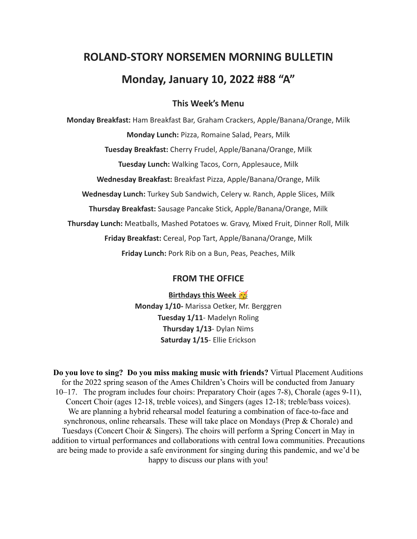# **ROLAND-STORY NORSEMEN MORNING BULLETIN Monday, January 10, 2022 #88 "A"**

## **This Week's Menu**

**Monday Breakfast:** Ham Breakfast Bar, Graham Crackers, Apple/Banana/Orange, Milk **Monday Lunch:** Pizza, Romaine Salad, Pears, Milk **Tuesday Breakfast:** Cherry Frudel, Apple/Banana/Orange, Milk **Tuesday Lunch:** Walking Tacos, Corn, Applesauce, Milk **Wednesday Breakfast:** Breakfast Pizza, Apple/Banana/Orange, Milk **Wednesday Lunch:** Turkey Sub Sandwich, Celery w. Ranch, Apple Slices, Milk **Thursday Breakfast:** Sausage Pancake Stick, Apple/Banana/Orange, Milk **Thursday Lunch:** Meatballs, Mashed Potatoes w. Gravy, Mixed Fruit, Dinner Roll, Milk **Friday Breakfast:** Cereal, Pop Tart, Apple/Banana/Orange, Milk **Friday Lunch:** Pork Rib on a Bun, Peas, Peaches, Milk

## **FROM THE OFFICE**

**Birthdays this Week Monday 1/10-** Marissa Oetker, Mr. Berggren **Tuesday 1/11**- Madelyn Roling **Thursday 1/13**- Dylan Nims **Saturday 1/15**- Ellie Erickson

**Do you love to sing? Do you miss making music with friends?** Virtual Placement Auditions for the 2022 spring season of the Ames Children's Choirs will be conducted from January 10–17. The program includes four choirs: Preparatory Choir (ages 7-8), Chorale (ages 9-11), Concert Choir (ages 12-18, treble voices), and Singers (ages 12-18; treble/bass voices). We are planning a hybrid rehearsal model featuring a combination of face-to-face and synchronous, online rehearsals. These will take place on Mondays (Prep & Chorale) and Tuesdays (Concert Choir & Singers). The choirs will perform a Spring Concert in May in addition to virtual performances and collaborations with central Iowa communities. Precautions are being made to provide a safe environment for singing during this pandemic, and we'd be happy to discuss our plans with you!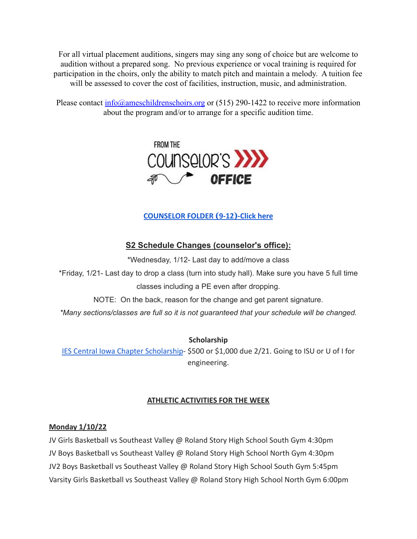For all virtual placement auditions, singers may sing any song of choice but are welcome to audition without a prepared song. No previous experience or vocal training is required for participation in the choirs, only the ability to match pitch and maintain a melody. A tuition fee will be assessed to cover the cost of facilities, instruction, music, and administration.

Please contact [info@ameschildrenschoirs.org](mailto:info@ameschildresnchoirs.org) or (515) 290-1422 to receive more information about the program and/or to arrange for a specific audition time.



## **[COUNSELOR FOLDER](https://docs.google.com/document/d/1vmwczNPbDzXe9vFaG5LJMQ7NYDv-i4oQJHybqA65TUc/edit?usp=sharing) (9-12)-Click here**

## **S2 Schedule Changes (counselor's office):**

\*Wednesday, 1/12- Last day to add/move a class

\*Friday, 1/21- Last day to drop a class (turn into study hall). Make sure you have 5 full time classes including a PE even after dropping.

NOTE: On the back, reason for the change and get parent signature.

*\*Many sections/classes are full so it is not guaranteed that your schedule will be changed.*

## **Scholarship**

[IES Central Iowa Chapter Scholarship](https://drive.google.com/file/d/1TOCO584mY9ObCqCNa6kBs_Yjrn4wPSdj/view?usp=sharing)- \$500 or \$1,000 due 2/21. Going to ISU or U of I for engineering.

## **ATHLETIC ACTIVITIES FOR THE WEEK**

## **Monday 1/10/22**

JV Girls Basketball vs Southeast Valley @ Roland Story High School South Gym 4:30pm JV Boys Basketball vs Southeast Valley @ Roland Story High School North Gym 4:30pm JV2 Boys Basketball vs Southeast Valley @ Roland Story High School South Gym 5:45pm Varsity Girls Basketball vs Southeast Valley @ Roland Story High School North Gym 6:00pm